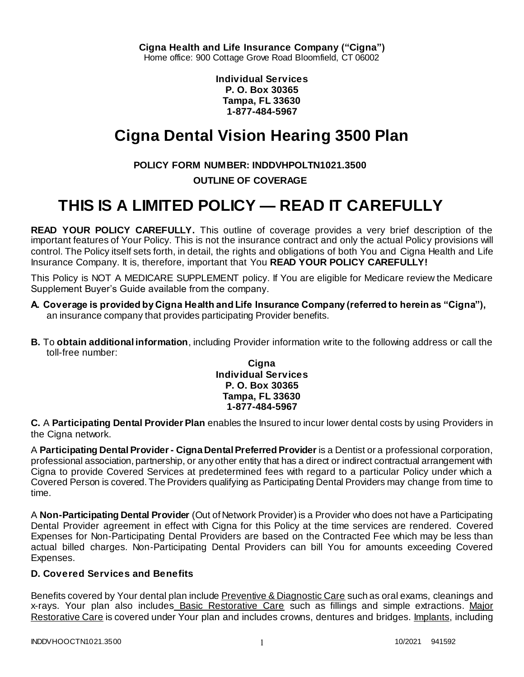**Individual Services P. O. Box 30365 Tampa, FL 33630 1-877-484-5967**

# **Cigna Dental Vision Hearing 3500 Plan**

# **POLICY FORM NUMBER: INDDVHPOLTN1021.3500**

# **OUTLINE OF COVERAGE**

# **THIS IS A LIMITED POLICY — READ IT CAREFULLY**

**READ YOUR POLICY CAREFULLY.** This outline of coverage provides a very brief description of the important features of Your Policy. This is not the insurance contract and only the actual Policy provisions will control. The Policy itself sets forth, in detail, the rights and obligations of both You and Cigna Health and Life Insurance Company. It is, therefore, important that You **READ YOUR POLICY CAREFULLY!** 

This Policy is NOT A MEDICARE SUPPLEMENT policy. If You are eligible for Medicare review the Medicare Supplement Buyer's Guide available from the company.

- **A. Coverage is provided by Cigna Health and Life Insurance Company (referred to herein as "Cigna"),**  an insurance company that provides participating Provider benefits.
- **B.** To **obtain additional information**, including Provider information write to the following address or call the toll-free number:

#### **Cigna Individual Services P. O. Box 30365 Tampa, FL 33630 1-877-484-5967**

**C.** A **Participating Dental Provider Plan** enables the Insured to incur lower dental costs by using Providers in the Cigna network.

A **Participating Dental Provider - Cigna Dental Preferred Provider** is a Dentist or a professional corporation, professional association, partnership, or any other entity that has a direct or indirect contractual arrangement with Cigna to provide Covered Services at predetermined fees with regard to a particular Policy under which a Covered Person is covered. The Providers qualifying as Participating Dental Providers may change from time to time.

A **Non-Participating Dental Provider** (Out of Network Provider) is a Provider who does not have a Participating Dental Provider agreement in effect with Cigna for this Policy at the time services are rendered. Covered Expenses for Non-Participating Dental Providers are based on the Contracted Fee which may be less than actual billed charges. Non-Participating Dental Providers can bill You for amounts exceeding Covered Expenses.

## **D. Covered Services and Benefits**

Benefits covered by Your dental plan include Preventive & Diagnostic Care such as oral exams, cleanings and x-rays. Your plan also includes Basic Restorative Care such as fillings and simple extractions. Major Restorative Care is covered under Your plan and includes crowns, dentures and bridges. Implants, including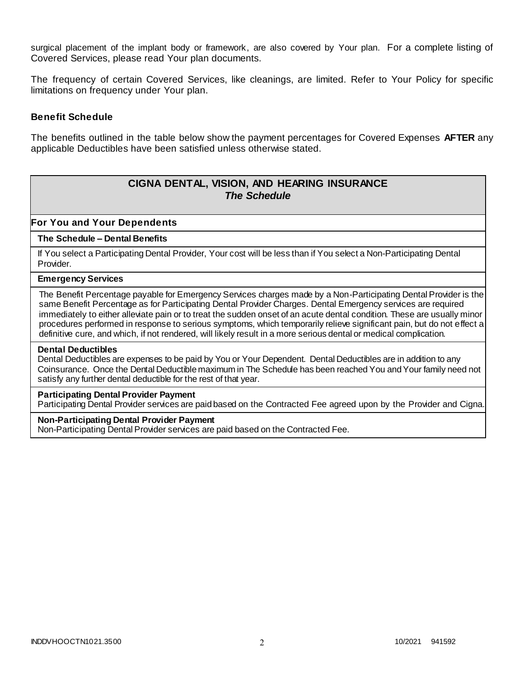surgical placement of the implant body or framework, are also covered by Your plan. For a complete listing of Covered Services, please read Your plan documents.

The frequency of certain Covered Services, like cleanings, are limited. Refer to Your Policy for specific limitations on frequency under Your plan.

#### **Benefit Schedule**

The benefits outlined in the table below show the payment percentages for Covered Expenses **AFTER** any applicable Deductibles have been satisfied unless otherwise stated.

# **CIGNA DENTAL, VISION, AND HEARING INSURANCE** *The Schedule*

**For You and Your Dependents**

#### **The Schedule – Dental Benefits**

If You select a Participating Dental Provider, Your cost will be less than if You select a Non-Participating Dental Provider.

#### **Emergency Services**

The Benefit Percentage payable for Emergency Services charges made by a Non-Participating Dental Provider is the same Benefit Percentage as for Participating Dental Provider Charges. Dental Emergency services are required immediately to either alleviate pain or to treat the sudden onset of an acute dental condition. These are usually minor procedures performed in response to serious symptoms, which temporarily relieve significant pain, but do not effect a definitive cure, and which, if not rendered, will likely result in a more serious dental or medical complication.

#### **Dental Deductibles**

Dental Deductibles are expenses to be paid by You or Your Dependent. Dental Deductibles are in addition to any Coinsurance. Once the Dental Deductible maximum in The Schedule has been reached You and Your family need not satisfy any further dental deductible for the rest of that year.

#### **Participating Dental Provider Payment**

Participating Dental Provider services are paid based on the Contracted Fee agreed upon by the Provider and Cigna.

#### **Non-Participating Dental Provider Payment**

Non-Participating Dental Provider services are paid based on the Contracted Fee.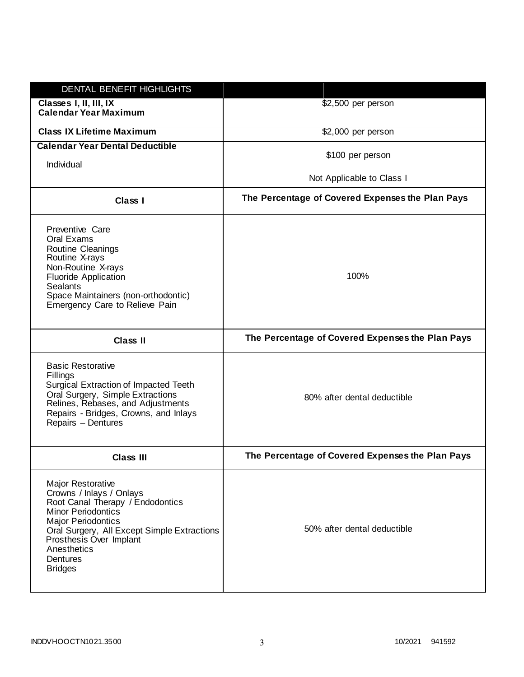| DENTAL BENEFIT HIGHLIGHTS                                                                                                                                                                                                                                                 |                                                  |
|---------------------------------------------------------------------------------------------------------------------------------------------------------------------------------------------------------------------------------------------------------------------------|--------------------------------------------------|
| Classes I, II, III, IX<br><b>Calendar Year Maximum</b>                                                                                                                                                                                                                    | \$2,500 per person                               |
| <b>Class IX Lifetime Maximum</b>                                                                                                                                                                                                                                          | \$2,000 per person                               |
| <b>Calendar Year Dental Deductible</b><br>Individual                                                                                                                                                                                                                      | \$100 per person                                 |
|                                                                                                                                                                                                                                                                           | Not Applicable to Class I                        |
| Class I                                                                                                                                                                                                                                                                   | The Percentage of Covered Expenses the Plan Pays |
| Preventive Care<br>Oral Exams<br>Routine Cleanings<br>Routine X-rays<br>Non-Routine X-rays<br><b>Fluoride Application</b><br><b>Sealants</b><br>Space Maintainers (non-orthodontic)<br>Emergency Care to Relieve Pain                                                     | 100%                                             |
| <b>Class II</b>                                                                                                                                                                                                                                                           | The Percentage of Covered Expenses the Plan Pays |
| <b>Basic Restorative</b><br>Fillings<br>Surgical Extraction of Impacted Teeth<br>Oral Surgery, Simple Extractions<br>Relines, Rebases, and Adjustments<br>Repairs - Bridges, Crowns, and Inlays<br>Repairs - Dentures                                                     | 80% after dental deductible                      |
| Class III                                                                                                                                                                                                                                                                 | The Percentage of Covered Expenses the Plan Pays |
| <b>Major Restorative</b><br>Crowns / Inlays / Onlays<br>Root Canal Therapy / Endodontics<br><b>Minor Periodontics</b><br><b>Major Periodontics</b><br>Oral Surgery, All Except Simple Extractions<br>Prosthesis Over Implant<br>Anesthetics<br>Dentures<br><b>Bridges</b> | 50% after dental deductible                      |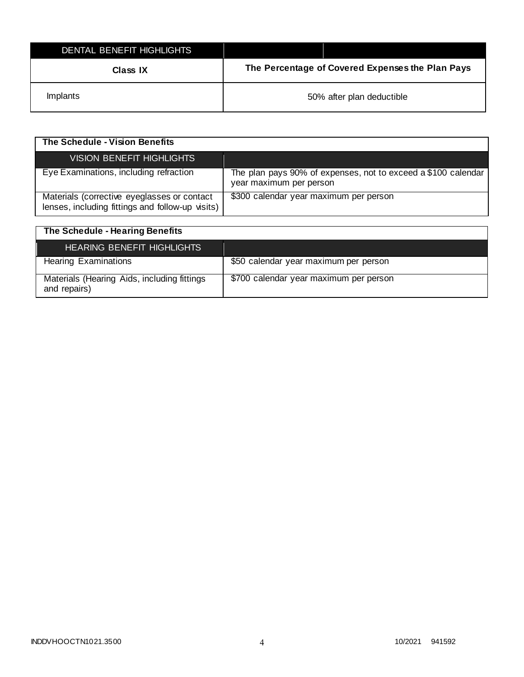| DENTAL BENEFIT HIGHLIGHTS |                                                  |
|---------------------------|--------------------------------------------------|
| Class IX                  | The Percentage of Covered Expenses the Plan Pays |
| <i>Implants</i>           | 50% after plan deductible                        |

| The Schedule - Vision Benefits                                                                  |                                                                                          |
|-------------------------------------------------------------------------------------------------|------------------------------------------------------------------------------------------|
| VISION BENEFIT HIGHLIGHTS                                                                       |                                                                                          |
| Eye Examinations, including refraction                                                          | The plan pays 90% of expenses, not to exceed a \$100 calendar<br>year maximum per person |
| Materials (corrective eyeglasses or contact<br>lenses, including fittings and follow-up visits) | \$300 calendar year maximum per person                                                   |

| The Schedule - Hearing Benefits                             |                                        |
|-------------------------------------------------------------|----------------------------------------|
| <b>HEARING BENEFIT HIGHLIGHTS</b>                           |                                        |
| <b>Hearing Examinations</b>                                 | \$50 calendar year maximum per person  |
| Materials (Hearing Aids, including fittings<br>and repairs) | \$700 calendar year maximum per person |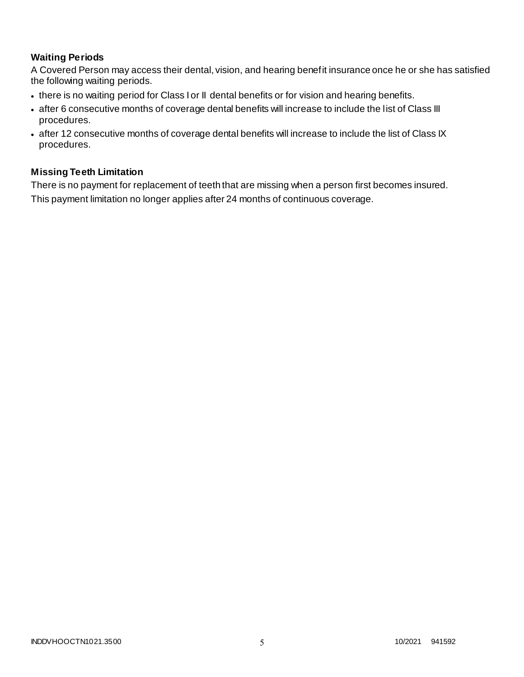## **Waiting Periods**

A Covered Person may access their dental, vision, and hearing benefit insurance once he or she has satisfied the following waiting periods.

- there is no waiting period for Class I or II dental benefits or for vision and hearing benefits.
- after 6 consecutive months of coverage dental benefits will increase to include the list of Class III procedures.
- after 12 consecutive months of coverage dental benefits will increase to include the list of Class IX procedures.

## **Missing Teeth Limitation**

There is no payment for replacement of teeth that are missing when a person first becomes insured. This payment limitation no longer applies after 24 months of continuous coverage.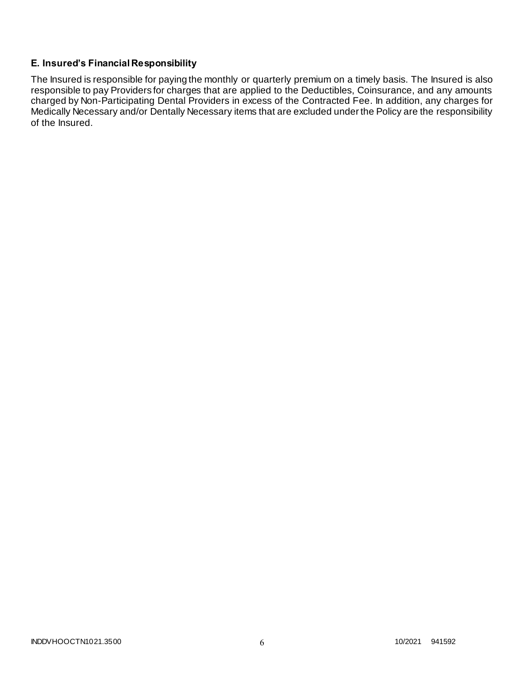## **E. Insured's Financial Responsibility**

The Insured is responsible for paying the monthly or quarterly premium on a timely basis. The Insured is also responsible to pay Providers for charges that are applied to the Deductibles, Coinsurance, and any amounts charged by Non-Participating Dental Providers in excess of the Contracted Fee. In addition, any charges for Medically Necessary and/or Dentally Necessary items that are excluded under the Policy are the responsibility of the Insured.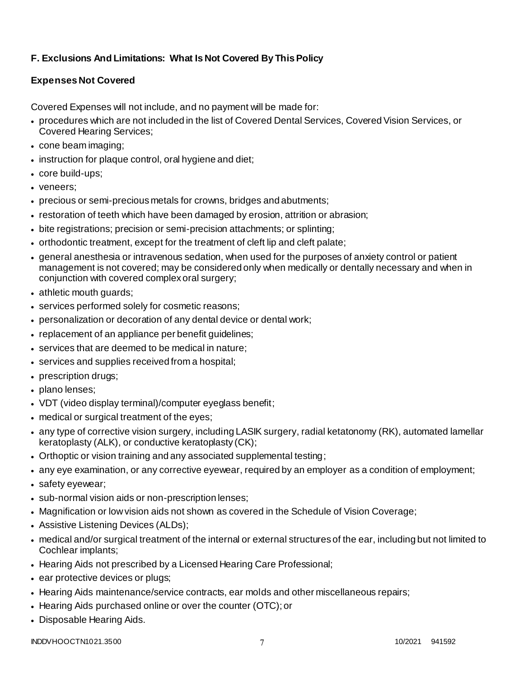## **F. Exclusions And Limitations: What Is Not Covered By This Policy**

## **Expenses Not Covered**

Covered Expenses will not include, and no payment will be made for:

- procedures which are not included in the list of Covered Dental Services, Covered Vision Services, or Covered Hearing Services;
- cone beam imaging;
- instruction for plaque control, oral hygiene and diet;
- core build-ups;
- veneers:
- precious or semi-precious metals for crowns, bridges and abutments;
- restoration of teeth which have been damaged by erosion, attrition or abrasion;
- bite registrations; precision or semi-precision attachments; or splinting;
- orthodontic treatment, except for the treatment of cleft lip and cleft palate;
- general anesthesia or intravenous sedation, when used for the purposes of anxiety control or patient management is not covered; may be considered only when medically or dentally necessary and when in conjunction with covered complex oral surgery;
- athletic mouth guards;
- services performed solely for cosmetic reasons;
- personalization or decoration of any dental device or dental work;
- replacement of an appliance per benefit guidelines;
- services that are deemed to be medical in nature;
- services and supplies received from a hospital;
- prescription drugs;
- plano lenses;
- VDT (video display terminal)/computer eyeglass benefit;
- medical or surgical treatment of the eyes;
- any type of corrective vision surgery, including LASIK surgery, radial ketatonomy (RK), automated lamellar keratoplasty (ALK), or conductive keratoplasty (CK);
- Orthoptic or vision training and any associated supplemental testing;
- any eye examination, or any corrective eyewear, required by an employer as a condition of employment;
- safety eyewear;
- sub-normal vision aids or non-prescription lenses;
- Magnification or low vision aids not shown as covered in the Schedule of Vision Coverage;
- Assistive Listening Devices (ALDs);
- medical and/or surgical treatment of the internal or external structures of the ear, including but not limited to Cochlear implants;
- Hearing Aids not prescribed by a Licensed Hearing Care Professional;
- ear protective devices or plugs;
- Hearing Aids maintenance/service contracts, ear molds and other miscellaneous repairs;
- Hearing Aids purchased online or over the counter (OTC); or
- Disposable Hearing Aids.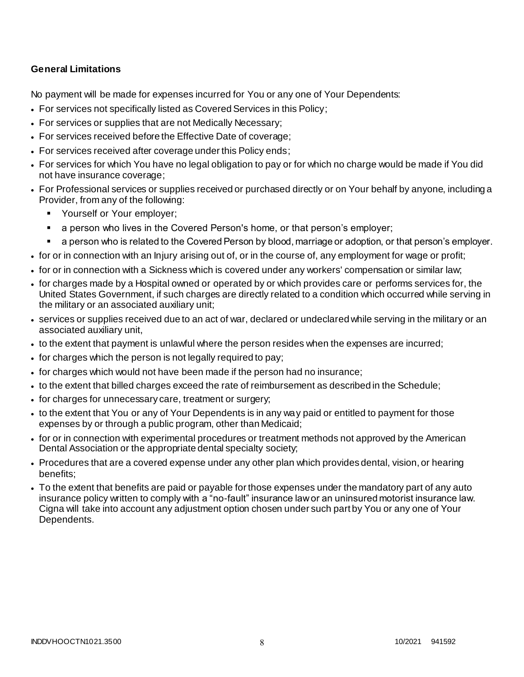## **General Limitations**

No payment will be made for expenses incurred for You or any one of Your Dependents:

- For services not specifically listed as Covered Services in this Policy;
- For services or supplies that are not Medically Necessary;
- For services received before the Effective Date of coverage;
- For services received after coverage under this Policy ends;
- For services for which You have no legal obligation to pay or for which no charge would be made if You did not have insurance coverage;
- For Professional services or supplies received or purchased directly or on Your behalf by anyone, including a Provider, from any of the following:
	- **Yourself or Your employer;**
	- a person who lives in the Covered Person's home, or that person's employer;
	- a person who is related to the Covered Person by blood, marriage or adoption, or that person's employer.
- for or in connection with an Injury arising out of, or in the course of, any employment for wage or profit;
- for or in connection with a Sickness which is covered under any workers' compensation or similar law;
- for charges made by a Hospital owned or operated by or which provides care or performs services for, the United States Government, if such charges are directly related to a condition which occurred while serving in the military or an associated auxiliary unit;
- services or supplies received due to an act of war, declared or undeclared while serving in the military or an associated auxiliary unit,
- to the extent that payment is unlawful where the person resides when the expenses are incurred;
- for charges which the person is not legally required to pay;
- for charges which would not have been made if the person had no insurance;
- to the extent that billed charges exceed the rate of reimbursement as described in the Schedule;
- for charges for unnecessary care, treatment or surgery;
- to the extent that You or any of Your Dependents is in any way paid or entitled to payment for those expenses by or through a public program, other than Medicaid;
- for or in connection with experimental procedures or treatment methods not approved by the American Dental Association or the appropriate dental specialty society;
- Procedures that are a covered expense under any other plan which provides dental, vision, or hearing benefits;
- To the extent that benefits are paid or payable for those expenses under the mandatory part of any auto insurance policy written to comply with a "no-fault" insurance law or an uninsured motorist insurance law. Cigna will take into account any adjustment option chosen under such part by You or any one of Your Dependents.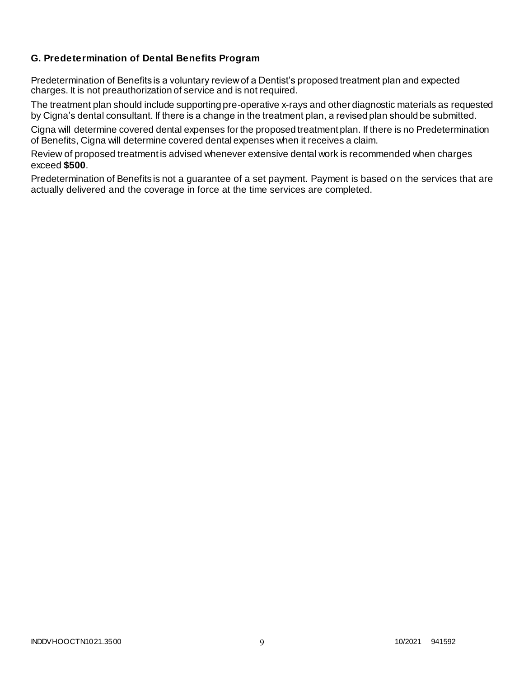## **G. Predetermination of Dental Benefits Program**

Predetermination of Benefits is a voluntary review of a Dentist's proposed treatment plan and expected charges. It is not preauthorization of service and is not required.

The treatment plan should include supporting pre-operative x-rays and other diagnostic materials as requested by Cigna's dental consultant. If there is a change in the treatment plan, a revised plan should be submitted.

Cigna will determine covered dental expenses for the proposed treatment plan. If there is no Predetermination of Benefits, Cigna will determine covered dental expenses when it receives a claim.

Review of proposed treatment is advised whenever extensive dental work is recommended when charges exceed **\$500**.

Predetermination of Benefits is not a guarantee of a set payment. Payment is based on the services that are actually delivered and the coverage in force at the time services are completed.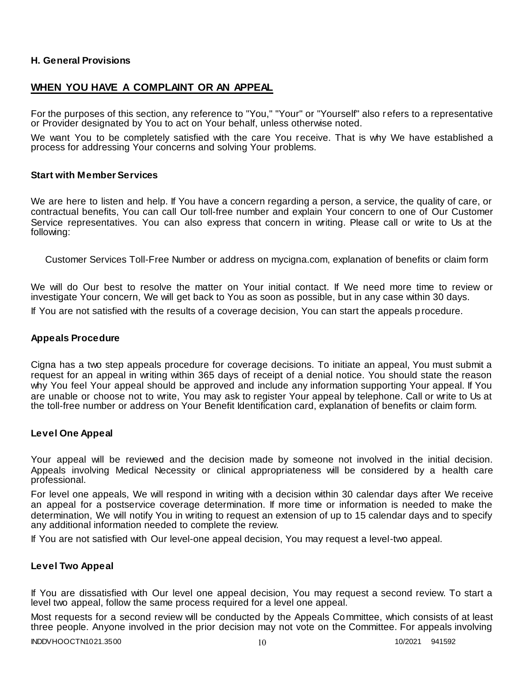### **H. General Provisions**

## **WHEN YOU HAVE A COMPLAINT OR AN APPEAL**

For the purposes of this section, any reference to "You," "Your" or "Yourself" also r efers to a representative or Provider designated by You to act on Your behalf, unless otherwise noted.

We want You to be completely satisfied with the care You receive. That is why We have established a process for addressing Your concerns and solving Your problems.

#### **Start with Member Services**

We are here to listen and help. If You have a concern regarding a person, a service, the quality of care, or contractual benefits, You can call Our toll-free number and explain Your concern to one of Our Customer Service representatives. You can also express that concern in writing. Please call or write to Us at the following:

Customer Services Toll-Free Number or address on mycigna.com, explanation of benefits or claim form

We will do Our best to resolve the matter on Your initial contact. If We need more time to review or investigate Your concern, We will get back to You as soon as possible, but in any case within 30 days. If You are not satisfied with the results of a coverage decision, You can start the appeals p rocedure.

#### **Appeals Procedure**

Cigna has a two step appeals procedure for coverage decisions. To initiate an appeal, You must submit a request for an appeal in writing within 365 days of receipt of a denial notice. You should state the reason why You feel Your appeal should be approved and include any information supporting Your appeal. If You are unable or choose not to write, You may ask to register Your appeal by telephone. Call or write to Us at the toll-free number or address on Your Benefit Identification card, explanation of benefits or claim form.

#### **Level One Appeal**

Your appeal will be reviewed and the decision made by someone not involved in the initial decision. Appeals involving Medical Necessity or clinical appropriateness will be considered by a health care professional.

For level one appeals, We will respond in writing with a decision within 30 calendar days after We receive an appeal for a postservice coverage determination. If more time or information is needed to make the determination, We will notify You in writing to request an extension of up to 15 calendar days and to specify any additional information needed to complete the review.

If You are not satisfied with Our level-one appeal decision, You may request a level-two appeal.

#### **Level Two Appeal**

If You are dissatisfied with Our level one appeal decision, You may request a second review. To start a level two appeal, follow the same process required for a level one appeal.

Most requests for a second review will be conducted by the Appeals Committee, which consists of at least three people. Anyone involved in the prior decision may not vote on the Committee. For appeals involving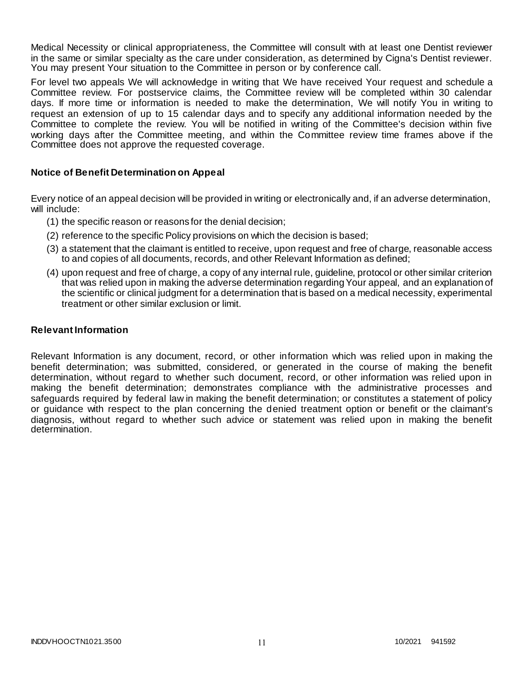Medical Necessity or clinical appropriateness, the Committee will consult with at least one Dentist reviewer in the same or similar specialty as the care under consideration, as determined by Cigna's Dentist reviewer. You may present Your situation to the Committee in person or by conference call.

For level two appeals We will acknowledge in writing that We have received Your request and schedule a Committee review. For postservice claims, the Committee review will be completed within 30 calendar days. If more time or information is needed to make the determination, We will notify You in writing to request an extension of up to 15 calendar days and to specify any additional information needed by the Committee to complete the review. You will be notified in writing of the Committee's decision within five working days after the Committee meeting, and within the Committee review time frames above if the Committee does not approve the requested coverage.

### **Notice of Benefit Determination on Appeal**

Every notice of an appeal decision will be provided in writing or electronically and, if an adverse determination, will include:

- (1) the specific reason or reasons for the denial decision;
- (2) reference to the specific Policy provisions on which the decision is based;
- (3) a statement that the claimant is entitled to receive, upon request and free of charge, reasonable access to and copies of all documents, records, and other Relevant Information as defined;
- (4) upon request and free of charge, a copy of any internal rule, guideline, protocol or other similar criterion that was relied upon in making the adverse determination regarding Your appeal, and an explanation of the scientific or clinical judgment for a determination that is based on a medical necessity, experimental treatment or other similar exclusion or limit.

#### **Relevant Information**

Relevant Information is any document, record, or other information which was relied upon in making the benefit determination; was submitted, considered, or generated in the course of making the benefit determination, without regard to whether such document, record, or other information was relied upon in making the benefit determination; demonstrates compliance with the administrative processes and safeguards required by federal law in making the benefit determination; or constitutes a statement of policy or guidance with respect to the plan concerning the denied treatment option or benefit or the claimant's diagnosis, without regard to whether such advice or statement was relied upon in making the benefit determination.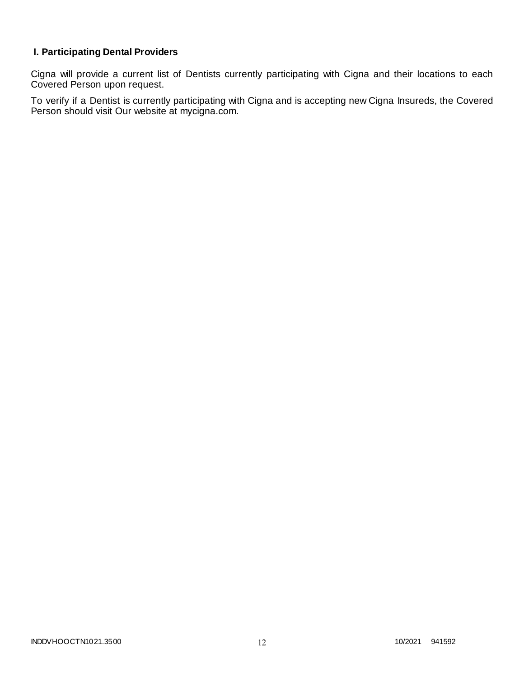## **I. Participating Dental Providers**

Cigna will provide a current list of Dentists currently participating with Cigna and their locations to each Covered Person upon request.

To verify if a Dentist is currently participating with Cigna and is accepting new Cigna Insureds, the Covered Person should visit Our website at mycigna.com.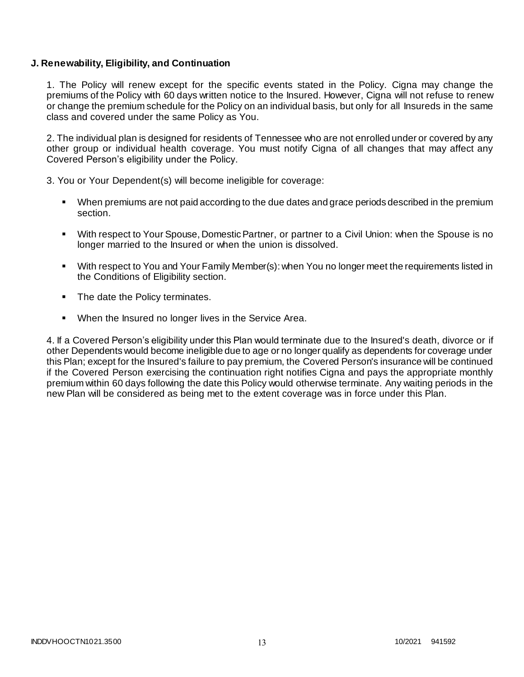#### **J. Renewability, Eligibility, and Continuation**

1. The Policy will renew except for the specific events stated in the Policy. Cigna may change the premiums of the Policy with 60 days written notice to the Insured. However, Cigna will not refuse to renew or change the premium schedule for the Policy on an individual basis, but only for all Insureds in the same class and covered under the same Policy as You.

2. The individual plan is designed for residents of Tennessee who are not enrolled under or covered by any other group or individual health coverage. You must notify Cigna of all changes that may affect any Covered Person's eligibility under the Policy.

3. You or Your Dependent(s) will become ineligible for coverage:

- When premiums are not paid according to the due dates and grace periods described in the premium section.
- With respect to Your Spouse, Domestic Partner, or partner to a Civil Union: when the Spouse is no longer married to the Insured or when the union is dissolved.
- With respect to You and Your Family Member(s): when You no longer meet the requirements listed in the Conditions of Eligibility section.
- The date the Policy terminates.
- When the Insured no longer lives in the Service Area.

4. If a Covered Person's eligibility under this Plan would terminate due to the Insured's death, divorce or if other Dependents would become ineligible due to age or no longer qualify as dependents for coverage under this Plan; except for the Insured's failure to pay premium, the Covered Person's insurance will be continued if the Covered Person exercising the continuation right notifies Cigna and pays the appropriate monthly premium within 60 days following the date this Policy would otherwise terminate. Any waiting periods in the new Plan will be considered as being met to the extent coverage was in force under this Plan.